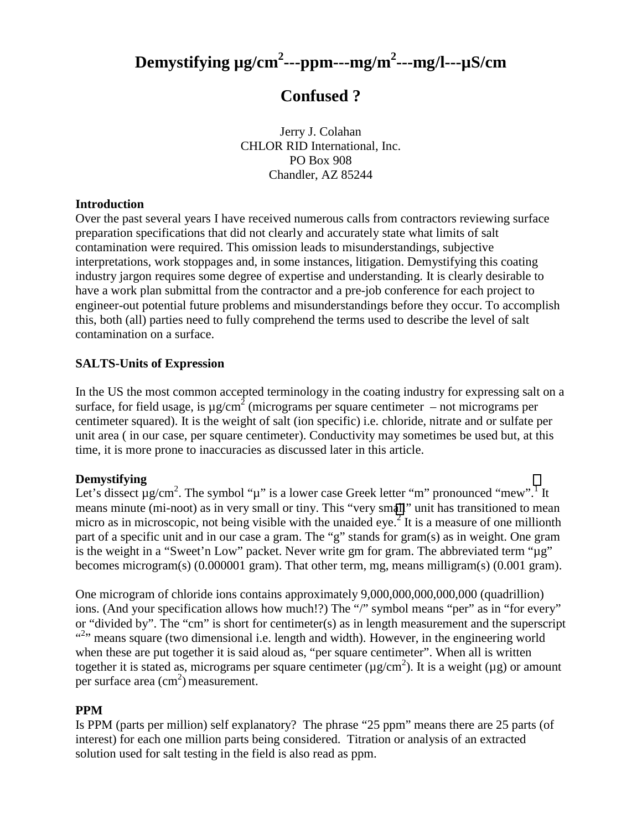# **Demystifying µg/cm2 ---ppm---mg/m2 ---mg/l---µS/cm**

# **Confused ?**

Jerry J. Colahan CHLOR RID International, Inc. PO Box 908 Chandler, AZ 85244

#### **Introduction**

Over the past several years I have received numerous calls from contractors reviewing surface preparation specifications that did not clearly and accurately state what limits of salt contamination were required. This omission leads to misunderstandings, subjective interpretations, work stoppages and, in some instances, litigation. Demystifying this coating industry jargon requires some degree of expertise and understanding. It is clearly desirable to have a work plan submittal from the contractor and a pre-job conference for each project to engineer-out potential future problems and misunderstandings before they occur. To accomplish this, both (all) parties need to fully comprehend the terms used to describe the level of salt contamination on a surface.

## **SALTS-Units of Expression**

In the US the most common accepted terminology in the coating industry for expressing salt on a surface, for field usage, is  $\mu$ g/cm<sup>2</sup> (micrograms per square centimeter – not micrograms per centimeter squared). It is the weight of salt (ion specific) i.e. chloride, nitrate and or sulfate per unit area ( in our case, per square centimeter). Conductivity may sometimes be used but, at this time, it is more prone to inaccuracies as discussed later in this article.

#### **Demystifying**

Let's dissect  $\mu$  g/cm<sup>2</sup>. The symbol " $\mu$ " is a lower case Greek letter "m" pronounced "mew".<sup>[1](#page-2-0)</sup> It means minute (mi-noot) as in very small or tiny. This "very sm[all](#page-2-0)" unit has transitioned to mean micro as in microscopic, not being visible with the unaided eye.<sup>2</sup> It is a measure of one millionth part of a specific unit and in our case a gram. The "g" stands for gram(s) as in weight. One gram is the weight in a "Sweet'n Low" packet. Never write gm for gram. The abbreviated term " $\mu$ g" becomes microgram(s) (0.000001 gram). That other term, mg, means milligram(s) (0.001 gram).

One microgram of chloride ions contains approximately 9,000,000,000,000,000 (quadrillion) ions. (And your specification allows how much!?) The "/" symbol means "per" as in "for every" or "divided by". The "cm" is short for centimeter(s) as in length measurement and the superscript "<sup>2</sup>" means square (two dimensional i.e. length and width). However, in the engineering world when these are put together it is said aloud as, "per square centimeter". When all is written together it is stated as, micrograms per square centimeter ( $\mu$ g/cm<sup>2</sup>). It is a weight ( $\mu$ g) or amount per surface area  $\text{ (cm}^2\text{) measurement.}$ 

#### **PPM**

Is PPM (parts per million) self explanatory? The phrase "25 ppm" means there are 25 parts (of interest) for each one million parts being considered. Titration or analysis of an extracted solution used for salt testing in the field is also read as ppm.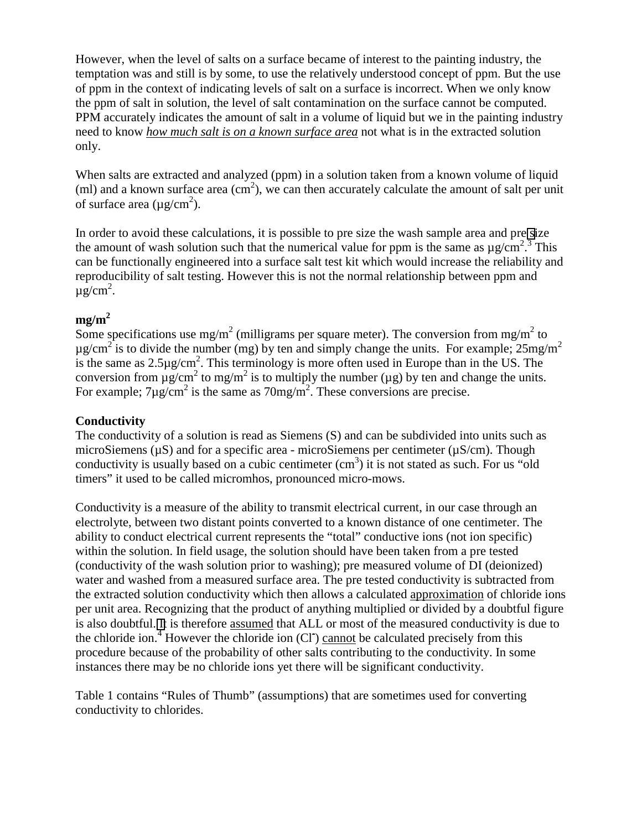However, when the level of salts on a surface became of interest to the painting industry, the temptation was and still is by some, to use the relatively understood concept of ppm. But the use of ppm in the context of indicating levels of salt on a surface is incorrect. When we only know the ppm of salt in solution, the level of salt contamination on the surface cannot be computed. PPM accurately indicates the amount of salt in a volume of liquid but we in the painting industry need to know *how much salt is on a known surface area* not what is in the extracted solution only.

When salts are extracted and analyzed (ppm) in a solution taken from a known volume of liquid (ml) and a known surface area  $(cm<sup>2</sup>)$ , we can then accurately calculate the amount of salt per unit of surface area ( $\mu$ g/cm<sup>2</sup>).

In order to avoid these calculations, it is possible to pre size the wash sample area and pre [si](#page-2-0)ze the amount of wash solution such that the numerical value for ppm is the same as  $\mu$  g/cm<sup>2</sup>.<sup>3</sup> This can be functionally engineered into a surface salt test kit which would increase the reliability and reproducibility of salt testing. However this is not the normal relationship between ppm and  $\mu g/cm^2$ .

## $me/m<sup>2</sup>$

Some specifications use mg/m<sup>2</sup> (milligrams per square meter). The conversion from mg/m<sup>2</sup> to  $\mu$ g/cm<sup>2</sup> is to divide the number (mg) by ten and simply change the units. For example; 25mg/m<sup>2</sup> is the same as  $2.5\mu\text{g/cm}^2$ . This terminology is more often used in Europe than in the US. The conversion from  $\mu$ g/cm<sup>2</sup> to mg/m<sup>2</sup> is to multiply the number ( $\mu$ g) by ten and change the units. For example;  $7\mu$ g/cm<sup>2</sup> is the same as  $70mg/m^2$ . These conversions are precise.

# **Conductivity**

The conductivity of a solution is read as Siemens (S) and can be subdivided into units such as microSiemens ( $\mu$ S) and for a specific area - microSiemens per centimeter ( $\mu$ S/cm). Though conductivity is usually based on a cubic centimeter  $(cm<sup>3</sup>)$  it is not stated as such. For us "old timers" it used to be called micromhos, pronounced micro-mows.

Conductivity is a measure of the ability to transmit electrical current, in our case through an electrolyte, between two distant points converted to a known distance of one centimeter. The ability to conduct electrical current represents the "total" conductive ions (not ion specific) within the solution. In field usage, the solution should have been taken from a pre tested (conductivity of the wash solution prior to washing); pre measured volume of DI (deionized) water and washed from a measured surface area. The pre tested conductivity is subtracted from the extracted solution conductivity which then allows a calculated approximation of chloride ions per unit area. Recognizing that the product of anything multiplied or divided by a doubtful figure is also doubtful. [It](#page-2-0) is therefore assumed that ALL or most of the measured conductivity is due to the chloride ion.<sup>4</sup> However the chloride ion (CI) cannot be calculated precisely from this procedure because of the probability of other salts contributing to the conductivity. In some instances there may be no chloride ions yet there will be significant conductivity.

Table 1 contains "Rules of Thumb" (assumptions) that are sometimes used for converting conductivity to chlorides.